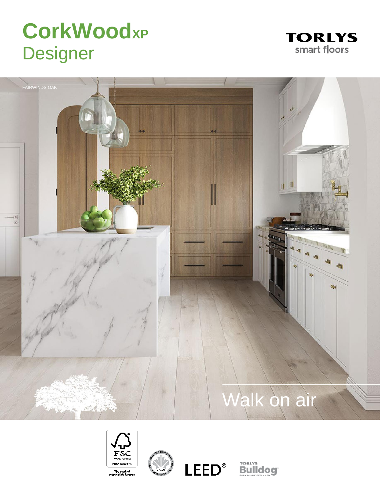# **CorkWoodXP Designer**